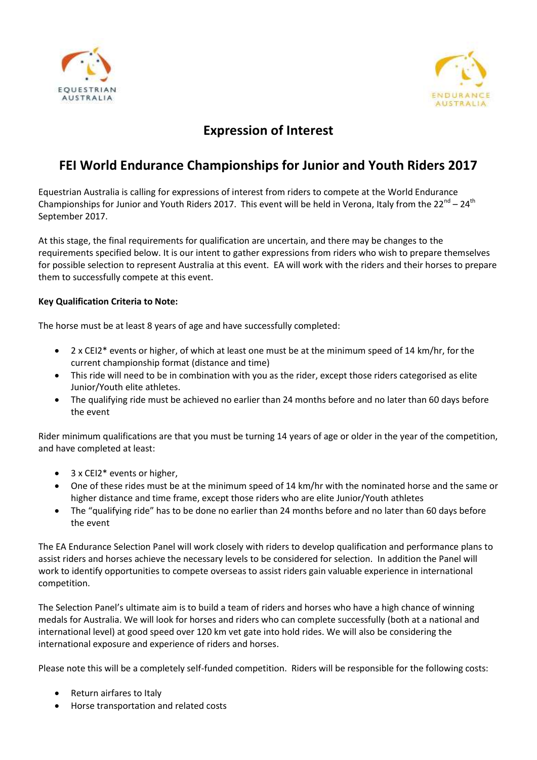



### **Expression of Interest**

# **FEI World Endurance Championships for Junior and Youth Riders 2017**

Equestrian Australia is calling for expressions of interest from riders to compete at the World Endurance Championships for Junior and Youth Riders 2017. This event will be held in Verona, Italy from the 22<sup>nd</sup> – 24<sup>th</sup> September 2017.

At this stage, the final requirements for qualification are uncertain, and there may be changes to the requirements specified below. It is our intent to gather expressions from riders who wish to prepare themselves for possible selection to represent Australia at this event. EA will work with the riders and their horses to prepare them to successfully compete at this event.

### **Key Qualification Criteria to Note:**

The horse must be at least 8 years of age and have successfully completed:

- 2 x CEI2\* events or higher, of which at least one must be at the minimum speed of 14 km/hr, for the current championship format (distance and time)
- This ride will need to be in combination with you as the rider, except those riders categorised as elite Junior/Youth elite athletes.
- The qualifying ride must be achieved no earlier than 24 months before and no later than 60 days before the event

Rider minimum qualifications are that you must be turning 14 years of age or older in the year of the competition, and have completed at least:

- 3 x CEI2<sup>\*</sup> events or higher,
- One of these rides must be at the minimum speed of 14 km/hr with the nominated horse and the same or higher distance and time frame, except those riders who are elite Junior/Youth athletes
- The "qualifying ride" has to be done no earlier than 24 months before and no later than 60 days before the event

The EA Endurance Selection Panel will work closely with riders to develop qualification and performance plans to assist riders and horses achieve the necessary levels to be considered for selection. In addition the Panel will work to identify opportunities to compete overseas to assist riders gain valuable experience in international competition.

The Selection Panel's ultimate aim is to build a team of riders and horses who have a high chance of winning medals for Australia. We will look for horses and riders who can complete successfully (both at a national and international level) at good speed over 120 km vet gate into hold rides. We will also be considering the international exposure and experience of riders and horses.

Please note this will be a completely self-funded competition. Riders will be responsible for the following costs:

- Return airfares to Italy
- Horse transportation and related costs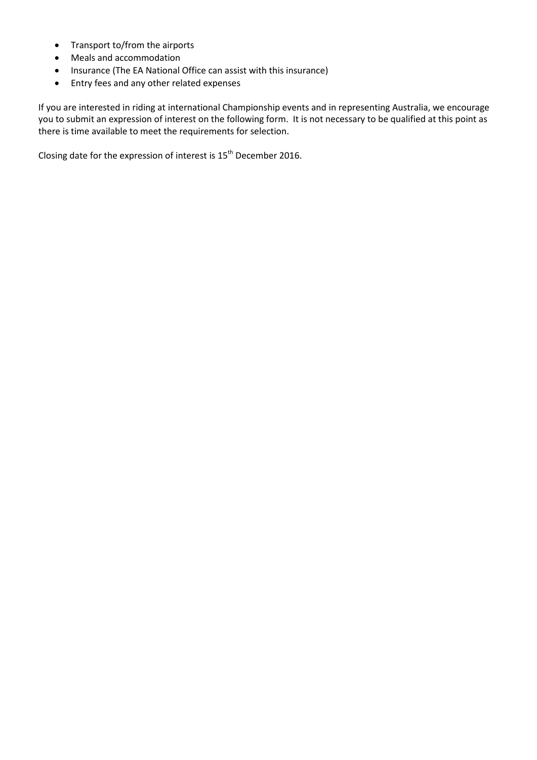- Transport to/from the airports
- Meals and accommodation
- Insurance (The EA National Office can assist with this insurance)
- Entry fees and any other related expenses

If you are interested in riding at international Championship events and in representing Australia, we encourage you to submit an expression of interest on the following form. It is not necessary to be qualified at this point as there is time available to meet the requirements for selection.

Closing date for the expression of interest is  $15^{th}$  December 2016.